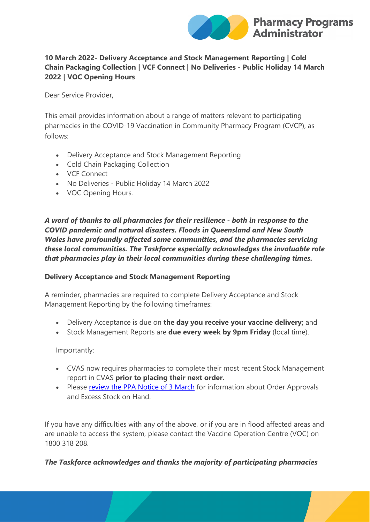

# **10 March 2022- Delivery Acceptance and Stock Management Reporting | Cold Chain Packaging Collection | VCF Connect | No Deliveries - Public Holiday 14 March 2022 | VOC Opening Hours**

Dear Service Provider,

This email provides information about a range of matters relevant to participating pharmacies in the COVID-19 Vaccination in Community Pharmacy Program (CVCP), as follows:

- Delivery Acceptance and Stock Management Reporting
- Cold Chain Packaging Collection
- VCF Connect
- No Deliveries Public Holiday 14 March 2022
- VOC Opening Hours.

*A word of thanks to all pharmacies for their resilience - both in response to the COVID pandemic and natural disasters. Floods in Queensland and New South Wales have profoundly affected some communities, and the pharmacies servicing these local communities. The Taskforce especially acknowledges the invaluable role that pharmacies play in their local communities during these challenging times.*

#### **Delivery Acceptance and Stock Management Reporting**

A reminder, pharmacies are required to complete Delivery Acceptance and Stock Management Reporting by the following timeframes:

- Delivery Acceptance is due on **the day you receive your vaccine delivery;** and
- Stock Management Reports are **due every week by 9pm Friday** (local time).

Importantly:

- CVAS now requires pharmacies to complete their most recent Stock Management report in CVAS **prior to placing their next order.**
- Please [review the PPA Notice of 3 March](https://protect-au.mimecast.com/s/xw61CD1vj8uj4gvi5ZqKM?domain=ppaonline.com.au) for information about Order Approvals and Excess Stock on Hand.

If you have any difficulties with any of the above, or if you are in flood affected areas and are unable to access the system, please contact the Vaccine Operation Centre (VOC) on 1800 318 208.

*The Taskforce acknowledges and thanks the majority of participating pharmacies*